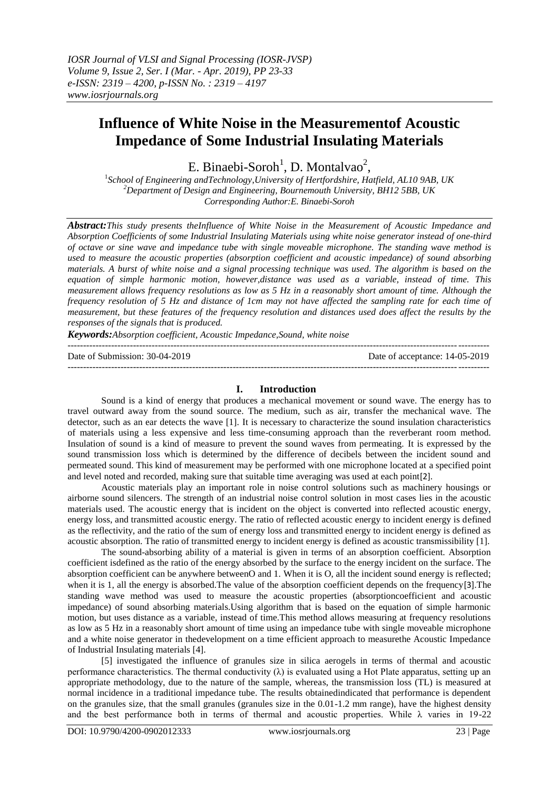# **Influence of White Noise in the Measurementof Acoustic Impedance of Some Industrial Insulating Materials**

E. Binaebi-Soroh<sup>1</sup>, D. Montalvao<sup>2</sup>,

1 *School of Engineering andTechnology*,*University of Hertfordshire, Hatfield, AL10 9AB, UK <sup>2</sup>Department of Design and Engineering, Bournemouth University, BH12 5BB, UK Corresponding Author:E. Binaebi-Soroh*

*Abstract:This study presents theInfluence of White Noise in the Measurement of Acoustic Impedance and Absorption Coefficients of some Industrial Insulating Materials using white noise generator instead of one-third of octave or sine wave and impedance tube with single moveable microphone. The standing wave method is used to measure the acoustic properties (absorption coefficient and acoustic impedance) of sound absorbing materials. A burst of white noise and a signal processing technique was used. The algorithm is based on the equation of simple harmonic motion, however,distance was used as a variable, instead of time. This measurement allows frequency resolutions as low as 5 Hz in a reasonably short amount of time. Although the frequency resolution of 5 Hz and distance of 1cm may not have affected the sampling rate for each time of measurement, but these features of the frequency resolution and distances used does affect the results by the responses of the signals that is produced.*

*Keywords:Absorption coefficient, Acoustic Impedance,Sound, white noise* ---------------------------------------------------------------------------------------------------------------------------------------

Date of Submission: 30-04-2019 Date of acceptance: 14-05-2019 ---------------------------------------------------------------------------------------------------------------------------------------

### **I. Introduction**

Sound is a kind of energy that produces a mechanical movement or sound wave. The energy has to travel outward away from the sound source. The medium, such as air, transfer the mechanical wave. The detector, such as an ear detects the wave [1]. It is necessary to characterize the sound insulation characteristics of materials using a less expensive and less time-consuming approach than the reverberant room method. Insulation of sound is a kind of measure to prevent the sound waves from permeating. It is expressed by the sound transmission loss which is determined by the difference of decibels between the incident sound and permeated sound. This kind of measurement may be performed with one microphone located at a specified point and level noted and recorded, making sure that suitable time averaging was used at each point[2].

Acoustic materials play an important role in noise control solutions such as machinery housings or airborne sound silencers. The strength of an industrial noise control solution in most cases lies in the acoustic materials used. The acoustic energy that is incident on the object is converted into reflected acoustic energy, energy loss, and transmitted acoustic energy. The ratio of reflected acoustic energy to incident energy is defined as the reflectivity, and the ratio of the sum of energy loss and transmitted energy to incident energy is defined as acoustic absorption. The ratio of transmitted energy to incident energy is defined as acoustic transmissibility [1].

The sound-absorbing ability of a material is given in terms of an absorption coefficient. Absorption coefficient isdefined as the ratio of the energy absorbed by the surface to the energy incident on the surface. The absorption coefficient can be anywhere betweenO and 1. When it is O, all the incident sound energy is reflected; when it is 1, all the energy is absorbed. The value of the absorption coefficient depends on the frequency[3]. The standing wave method was used to measure the acoustic properties (absorptioncoefficient and acoustic impedance) of sound absorbing materials.Using algorithm that is based on the equation of simple harmonic motion, but uses distance as a variable, instead of time.This method allows measuring at frequency resolutions as low as 5 Hz in a reasonably short amount of time using an impedance tube with single moveable microphone and a white noise generator in thedevelopment on a time efficient approach to measurethe Acoustic Impedance of Industrial Insulating materials [4].

[5] investigated the influence of granules size in silica aerogels in terms of thermal and acoustic performance characteristics. The thermal conductivity  $(\lambda)$  is evaluated using a Hot Plate apparatus, setting up an appropriate methodology, due to the nature of the sample, whereas, the transmission loss (TL) is measured at normal incidence in a traditional impedance tube. The results obtainedindicated that performance is dependent on the granules size, that the small granules (granules size in the 0.01-1.2 mm range), have the highest density and the best performance both in terms of thermal and acoustic properties. While  $\lambda$  varies in 19-22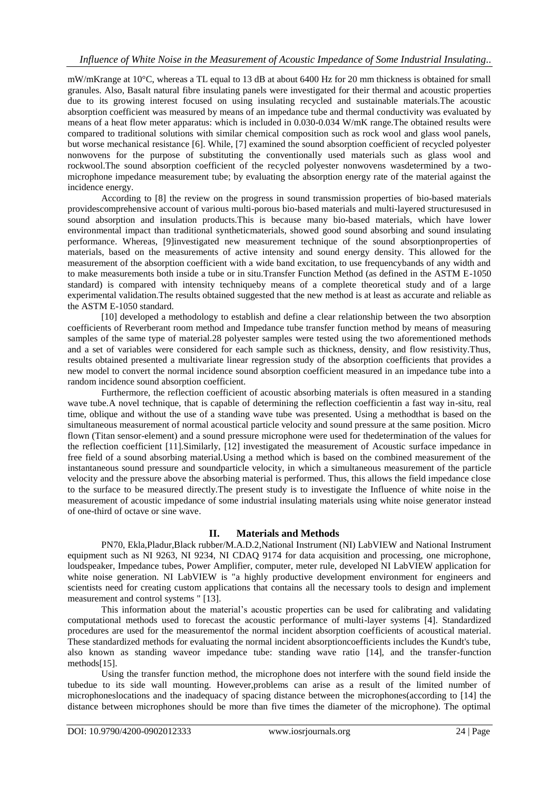mW/mKrange at 10°C, whereas a TL equal to 13 dB at about 6400 Hz for 20 mm thickness is obtained for small granules. Also, Basalt natural fibre insulating panels were investigated for their thermal and acoustic properties due to its growing interest focused on using insulating recycled and sustainable materials.The acoustic absorption coefficient was measured by means of an impedance tube and thermal conductivity was evaluated by means of a heat flow meter apparatus: which is included in 0.030-0.034 W/mK range.The obtained results were compared to traditional solutions with similar chemical composition such as rock wool and glass wool panels, but worse mechanical resistance [6]. While, [7] examined the sound absorption coefficient of recycled polyester nonwovens for the purpose of substituting the conventionally used materials such as glass wool and rockwool.The sound absorption coefficient of the recycled polyester nonwovens wasdetermined by a twomicrophone impedance measurement tube; by evaluating the absorption energy rate of the material against the incidence energy.

According to [8] the review on the progress in sound transmission properties of bio-based materials providescomprehensive account of various multi-porous bio-based materials and multi-layered structuresused in sound absorption and insulation products.This is because many bio-based materials, which have lower environmental impact than traditional syntheticmaterials, showed good sound absorbing and sound insulating performance. Whereas, [9]investigated new measurement technique of the sound absorptionproperties of materials, based on the measurements of active intensity and sound energy density. This allowed for the measurement of the absorption coefficient with a wide band excitation, to use frequencybands of any width and to make measurements both inside a tube or in situ.Transfer Function Method (as defined in the ASTM E-1050 standard) is compared with intensity techniqueby means of a complete theoretical study and of a large experimental validation.The results obtained suggested that the new method is at least as accurate and reliable as the ASTM E-1050 standard.

[10] developed a methodology to establish and define a clear relationship between the two absorption coefficients of Reverberant room method and Impedance tube transfer function method by means of measuring samples of the same type of material.28 polyester samples were tested using the two aforementioned methods and a set of variables were considered for each sample such as thickness, density, and flow resistivity.Thus, results obtained presented a multivariate linear regression study of the absorption coefficients that provides a new model to convert the normal incidence sound absorption coefficient measured in an impedance tube into a random incidence sound absorption coefficient.

Furthermore, the reflection coefficient of acoustic absorbing materials is often measured in a standing wave tube.A novel technique, that is capable of determining the reflection coefficientin a fast way in-situ, real time, oblique and without the use of a standing wave tube was presented. Using a methodthat is based on the simultaneous measurement of normal acoustical particle velocity and sound pressure at the same position. Micro flown (Titan sensor-element) and a sound pressure microphone were used for thedetermination of the values for the reflection coefficient [11].Similarly, [12] investigated the measurement of Acoustic surface impedance in free field of a sound absorbing material.Using a method which is based on the combined measurement of the instantaneous sound pressure and soundparticle velocity, in which a simultaneous measurement of the particle velocity and the pressure above the absorbing material is performed. Thus, this allows the field impedance close to the surface to be measured directly.The present study is to investigate the Influence of white noise in the measurement of acoustic impedance of some industrial insulating materials using white noise generator instead of one-third of octave or sine wave.

## **II. Materials and Methods**

PN70, Ekla,Pladur,Black rubber/M.A.D.2,National Instrument (NI) LabVIEW and National Instrument equipment such as NI 9263, NI 9234, NI CDAQ 9174 for data acquisition and processing, one microphone, loudspeaker, Impedance tubes, Power Amplifier, computer, meter rule, developed NI LabVIEW application for white noise generation. NI LabVIEW is "a highly productive development environment for engineers and scientists need for creating custom applications that contains all the necessary tools to design and implement measurement and control systems " [13].

This information about the material's acoustic properties can be used for calibrating and validating computational methods used to forecast the acoustic performance of multi-layer systems [4]. Standardized procedures are used for the measurementof the normal incident absorption coefficients of acoustical material. These standardized methods for evaluating the normal incident absorptioncoefficients includes the Kundt's tube, also known as standing waveor impedance tube: standing wave ratio [14], and the transfer-function methods[15].

Using the transfer function method, the microphone does not interfere with the sound field inside the tubedue to its side wall mounting. However,problems can arise as a result of the limited number of microphoneslocations and the inadequacy of spacing distance between the microphones(according to [14] the distance between microphones should be more than five times the diameter of the microphone). The optimal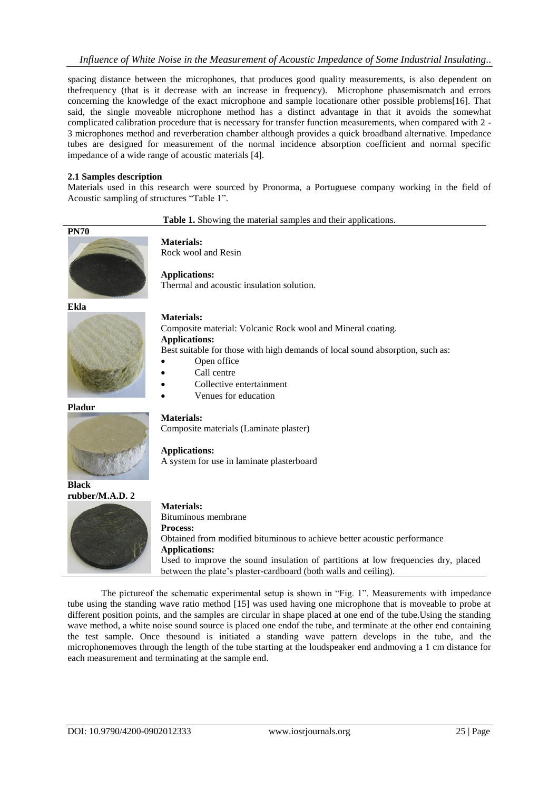spacing distance between the microphones, that produces good quality measurements, is also dependent on thefrequency (that is it decrease with an increase in frequency). Microphone phasemismatch and errors concerning the knowledge of the exact microphone and sample locationare other possible problems[16]. That said, the single moveable microphone method has a distinct advantage in that it avoids the somewhat complicated calibration procedure that is necessary for transfer function measurements, when compared with 2 - 3 microphones method and reverberation chamber although provides a quick broadband alternative. Impedance tubes are designed for measurement of the normal incidence absorption coefficient and normal specific impedance of a wide range of acoustic materials [4].

### **2.1 Samples description**

Materials used in this research were sourced by Pronorma, a Portuguese company working in the field of Acoustic sampling of structures "Table 1".

### **Table 1.** Showing the material samples and their applications.



**Materials:** Rock wool and Resin

**Applications:** Thermal and acoustic insulation solution.

**Ekla**



**Materials:**

**Materials:**

**Applications:**

# Composite material: Volcanic Rock wool and Mineral coating. **Applications:**

Best suitable for those with high demands of local sound absorption, such as:

- Open office
- Call centre
- Collective entertainment

Composite materials (Laminate plaster)

A system for use in laminate plasterboard

Venues for education

# **Pladur**



**Black rubber/M.A.D. 2**



Bituminous membrane **Process:** Obtained from modified bituminous to achieve better acoustic performance **Applications:** Used to improve the sound insulation of partitions at low frequencies dry, placed between the plate's plaster-cardboard (both walls and ceiling).

The pictureof the schematic experimental setup is shown in "Fig. 1". Measurements with impedance tube using the standing wave ratio method [15] was used having one microphone that is moveable to probe at different position points, and the samples are circular in shape placed at one end of the tube.Using the standing wave method, a white noise sound source is placed one endof the tube, and terminate at the other end containing the test sample. Once thesound is initiated a standing wave pattern develops in the tube, and the microphonemoves through the length of the tube starting at the loudspeaker end andmoving a 1 cm distance for each measurement and terminating at the sample end.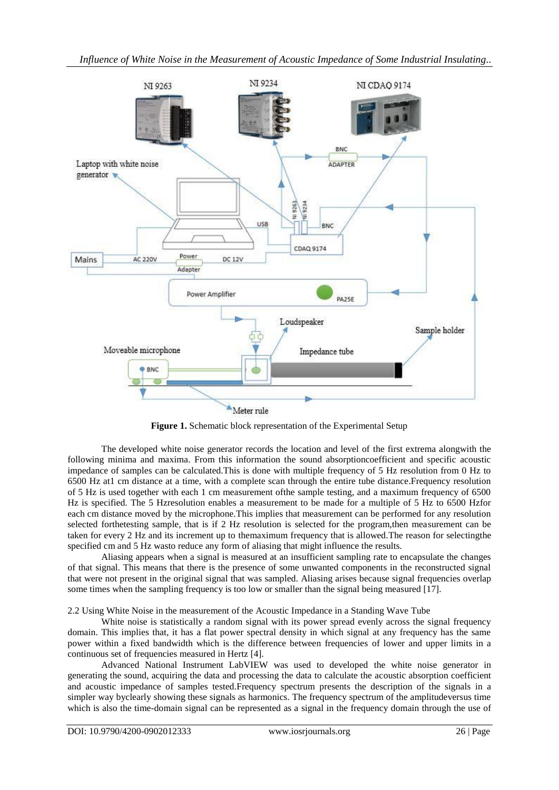

**Figure 1.** Schematic block representation of the Experimental Setup

The developed white noise generator records the location and level of the first extrema alongwith the following minima and maxima. From this information the sound absorptioncoefficient and specific acoustic impedance of samples can be calculated.This is done with multiple frequency of 5 Hz resolution from 0 Hz to 6500 Hz at1 cm distance at a time, with a complete scan through the entire tube distance.Frequency resolution of 5 Hz is used together with each 1 cm measurement ofthe sample testing, and a maximum frequency of 6500 Hz is specified. The 5 Hzresolution enables a measurement to be made for a multiple of 5 Hz to 6500 Hzfor each cm distance moved by the microphone.This implies that measurement can be performed for any resolution selected forthetesting sample, that is if 2 Hz resolution is selected for the program,then measurement can be taken for every 2 Hz and its increment up to themaximum frequency that is allowed.The reason for selectingthe specified cm and 5 Hz wasto reduce any form of aliasing that might influence the results.

Aliasing appears when a signal is measured at an insufficient sampling rate to encapsulate the changes of that signal. This means that there is the presence of some unwanted components in the reconstructed signal that were not present in the original signal that was sampled. Aliasing arises because signal frequencies overlap some times when the sampling frequency is too low or smaller than the signal being measured [17].

2.2 Using White Noise in the measurement of the Acoustic Impedance in a Standing Wave Tube

White noise is statistically a random signal with its power spread evenly across the signal frequency domain. This implies that, it has a flat power spectral density in which signal at any frequency has the same power within a fixed bandwidth which is the difference between frequencies of lower and upper limits in a continuous set of frequencies measured in Hertz [4].

Advanced National Instrument LabVIEW was used to developed the white noise generator in generating the sound, acquiring the data and processing the data to calculate the acoustic absorption coefficient and acoustic impedance of samples tested.Frequency spectrum presents the description of the signals in a simpler way byclearly showing these signals as harmonics. The frequency spectrum of the amplitudeversus time which is also the time-domain signal can be represented as a signal in the frequency domain through the use of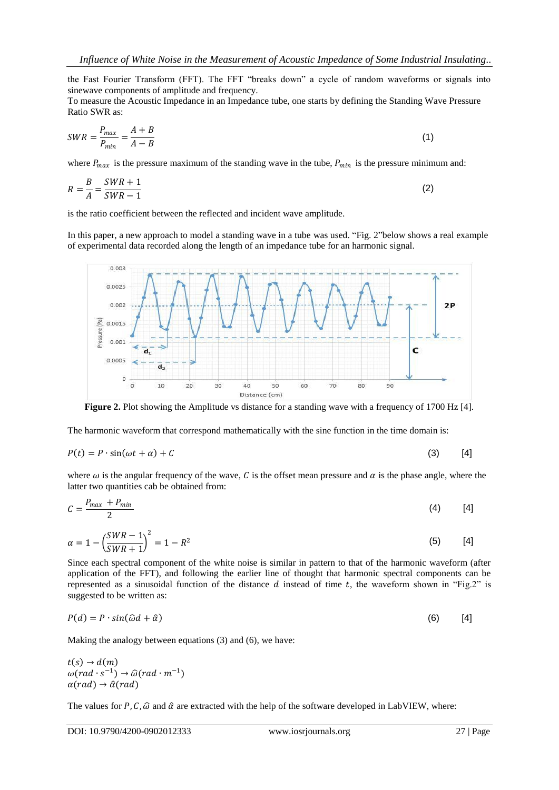the Fast Fourier Transform (FFT). The FFT "breaks down" a cycle of random waveforms or signals into sinewave components of amplitude and frequency.

To measure the Acoustic Impedance in an Impedance tube, one starts by defining the Standing Wave Pressure Ratio SWR as:

$$
SWR = \frac{P_{max}}{P_{min}} = \frac{A+B}{A-B}
$$
\n<sup>(1)</sup>

where  $P_{max}$  is the pressure maximum of the standing wave in the tube,  $P_{min}$  is the pressure minimum and:

$$
R = \frac{B}{A} = \frac{SWR + 1}{SWR - 1}
$$
\n<sup>(2)</sup>

is the ratio coefficient between the reflected and incident wave amplitude.

In this paper, a new approach to model a standing wave in a tube was used. "Fig. 2"below shows a real example of experimental data recorded along the length of an impedance tube for an harmonic signal.



**Figure 2.** Plot showing the Amplitude vs distance for a standing wave with a frequency of 1700 Hz [4].

The harmonic waveform that correspond mathematically with the sine function in the time domain is:

$$
P(t) = P \cdot \sin(\omega t + \alpha) + C \tag{3}
$$

where  $\omega$  is the angular frequency of the wave, C is the offset mean pressure and  $\alpha$  is the phase angle, where the latter two quantities cab be obtained from:

$$
C = \frac{P_{max} + P_{min}}{2} \tag{4}
$$

$$
\alpha = 1 - \left(\frac{SWR - 1}{SWR + 1}\right)^2 = 1 - R^2
$$
\n(5) [4]

Since each spectral component of the white noise is similar in pattern to that of the harmonic waveform (after application of the FFT), and following the earlier line of thought that harmonic spectral components can be represented as a sinusoidal function of the distance  $d$  instead of time  $t$ , the waveform shown in "Fig.2" is suggested to be written as:

$$
P(d) = P \cdot \sin(\hat{\omega}d + \hat{\alpha})
$$
 (6) [4]

Making the analogy between equations (3) and (6), we have:

 $t(s) \rightarrow d(m)$  $\omega(rad \cdot s^{-1}) \rightarrow \widehat{\omega}(rad \cdot m^{-1})$  $\alpha$ (rad)  $\rightarrow \hat{\alpha}$ (rad)

The values for P, C,  $\hat{\omega}$  and  $\hat{\alpha}$  are extracted with the help of the software developed in LabVIEW, where: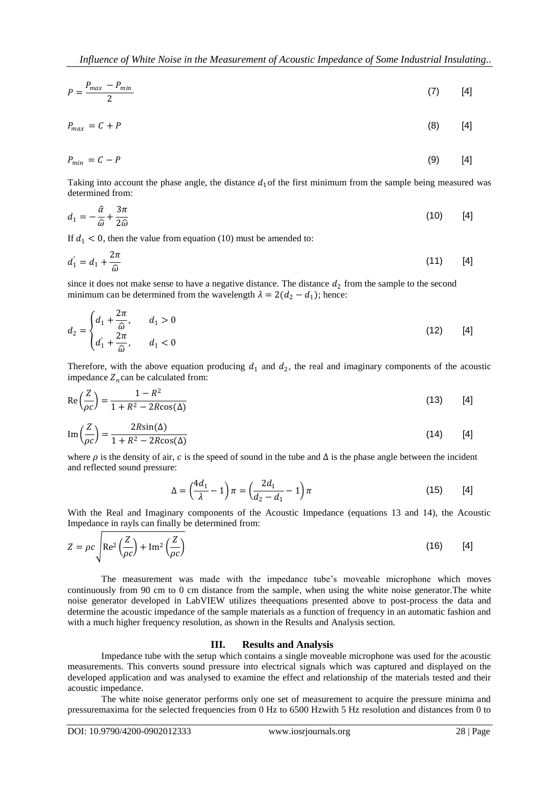$$
P = \frac{P_{max} - P_{min}}{2} \tag{7}
$$

 $P_{max} = C + P$  (8) [4]

$$
P_{min} = C - P \tag{9} \tag{9} \tag{4}
$$

Taking into account the phase angle, the distance  $d_1$  of the first minimum from the sample being measured was determined from:

$$
d_1 = -\frac{\hat{\alpha}}{\hat{\omega}} + \frac{3\pi}{2\hat{\omega}} \tag{10}
$$

If  $d_1 < 0$ , then the value from equation (10) must be amended to:

$$
d_1' = d_1 + \frac{2\pi}{\hat{\omega}} \tag{11}
$$

since it does not make sense to have a negative distance. The distance  $d_2$  from the sample to the second minimum can be determined from the wavelength  $\lambda = 2(d_2 - d_1)$ ; hence:

$$
d_2 = \begin{cases} d_1 + \frac{2\pi}{\hat{\omega}}, & d_1 > 0 \\ d_1' + \frac{2\pi}{\hat{\omega}}, & d_1 < 0 \end{cases}
$$
 (12) [4]

Therefore, with the above equation producing  $d_1$  and  $d_2$ , the real and imaginary components of the acoustic impedance  $Z_n$  can be calculated from:

$$
\operatorname{Re}\left(\frac{Z}{\rho c}\right) = \frac{1 - R^2}{1 + R^2 - 2R\cos(\Delta)}\tag{13}
$$

$$
\operatorname{Im}\left(\frac{Z}{\rho c}\right) = \frac{2R\sin(\Delta)}{1 + R^2 - 2R\cos(\Delta)}\tag{14}
$$

where  $\rho$  is the density of air, c is the speed of sound in the tube and  $\Delta$  is the phase angle between the incident and reflected sound pressure:

$$
\Delta = \left(\frac{4d_1}{\lambda} - 1\right)\pi = \left(\frac{2d_1}{d_2 - d_1} - 1\right)\pi\tag{15}
$$

With the Real and Imaginary components of the Acoustic Impedance (equations 13 and 14), the Acoustic Impedance in rayls can finally be determined from:

$$
Z = \rho c \sqrt{\text{Re}^2 \left(\frac{Z}{\rho c}\right) + \text{Im}^2 \left(\frac{Z}{\rho c}\right)}
$$
(16) [4]

The measurement was made with the impedance tube's moveable microphone which moves continuously from 90 cm to 0 cm distance from the sample, when using the white noise generator.The white noise generator developed in LabVIEW utilizes theequations presented above to post-process the data and determine the acoustic impedance of the sample materials as a function of frequency in an automatic fashion and with a much higher frequency resolution, as shown in the Results and Analysis section.

### **III. Results and Analysis**

Impedance tube with the setup which contains a single moveable microphone was used for the acoustic measurements. This converts sound pressure into electrical signals which was captured and displayed on the developed application and was analysed to examine the effect and relationship of the materials tested and their acoustic impedance.

The white noise generator performs only one set of measurement to acquire the pressure minima and pressuremaxima for the selected frequencies from 0 Hz to 6500 Hzwith 5 Hz resolution and distances from 0 to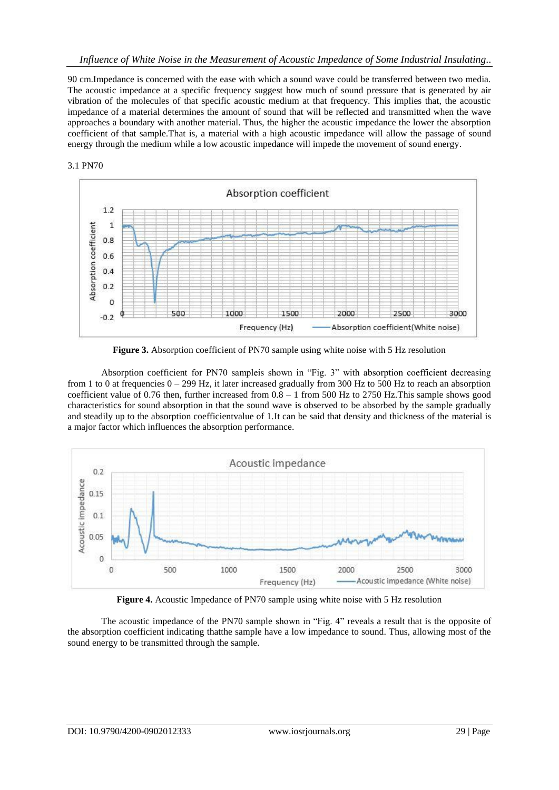90 cm.Impedance is concerned with the ease with which a sound wave could be transferred between two media. The acoustic impedance at a specific frequency suggest how much of sound pressure that is generated by air vibration of the molecules of that specific acoustic medium at that frequency. This implies that, the acoustic impedance of a material determines the amount of sound that will be reflected and transmitted when the wave approaches a boundary with another material. Thus, the higher the acoustic impedance the lower the absorption coefficient of that sample.That is, a material with a high acoustic impedance will allow the passage of sound energy through the medium while a low acoustic impedance will impede the movement of sound energy.





**Figure 3.** Absorption coefficient of PN70 sample using white noise with 5 Hz resolution

Absorption coefficient for PN70 sampleis shown in "Fig. 3" with absorption coefficient decreasing from 1 to 0 at frequencies  $0 - 299$  Hz, it later increased gradually from 300 Hz to 500 Hz to reach an absorption coefficient value of 0.76 then, further increased from 0.8 – 1 from 500 Hz to 2750 Hz.This sample shows good characteristics for sound absorption in that the sound wave is observed to be absorbed by the sample gradually and steadily up to the absorption coefficientvalue of 1.It can be said that density and thickness of the material is a major factor which influences the absorption performance.



**Figure 4.** Acoustic Impedance of PN70 sample using white noise with 5 Hz resolution

The acoustic impedance of the PN70 sample shown in "Fig. 4" reveals a result that is the opposite of the absorption coefficient indicating thatthe sample have a low impedance to sound. Thus, allowing most of the sound energy to be transmitted through the sample.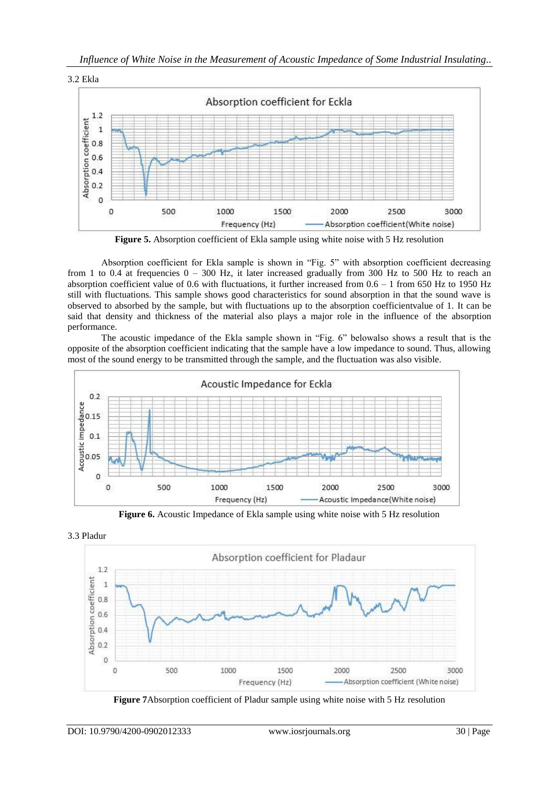

**Figure 5.** Absorption coefficient of Ekla sample using white noise with 5 Hz resolution

Absorption coefficient for Ekla sample is shown in "Fig.  $5$ " with absorption coefficient decreasing from 1 to 0.4 at frequencies  $0 - 300$  Hz, it later increased gradually from 300 Hz to 500 Hz to reach an absorption coefficient value of 0.6 with fluctuations, it further increased from  $0.6 - 1$  from 650 Hz to 1950 Hz still with fluctuations. This sample shows good characteristics for sound absorption in that the sound wave is observed to absorbed by the sample, but with fluctuations up to the absorption coefficientvalue of 1. It can be said that density and thickness of the material also plays a major role in the influence of the absorption performance.

The acoustic impedance of the Ekla sample shown in "Fig. 6" belowalso shows a result that is the opposite of the absorption coefficient indicating that the sample have a low impedance to sound. Thus, allowing most of the sound energy to be transmitted through the sample, and the fluctuation was also visible.



**Figure 6.** Acoustic Impedance of Ekla sample using white noise with 5 Hz resolution



**Figure 7**Absorption coefficient of Pladur sample using white noise with 5 Hz resolution

3.3 Pladur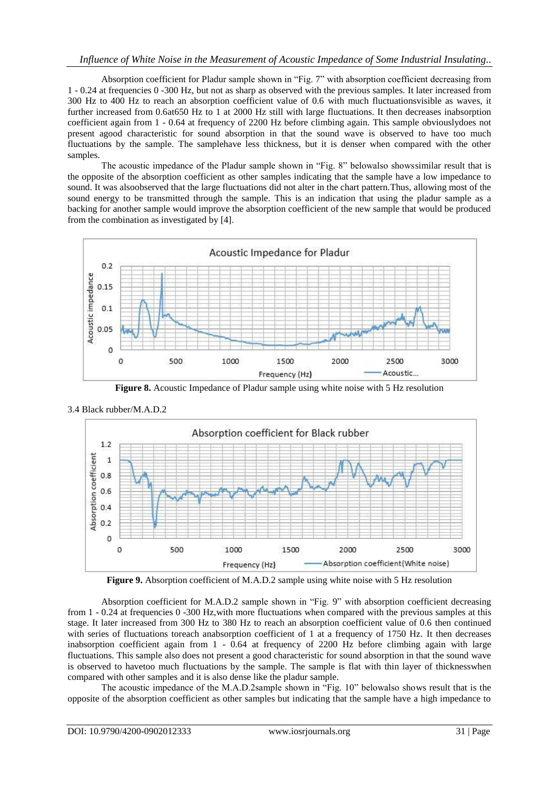# *Influence of White Noise in the Measurement of Acoustic Impedance of Some Industrial Insulating..*

Absorption coefficient for Pladur sample shown in "Fig. 7" with absorption coefficient decreasing from 1 - 0.24 at frequencies 0 -300 Hz, but not as sharp as observed with the previous samples. It later increased from 300 Hz to 400 Hz to reach an absorption coefficient value of 0.6 with much fluctuationsvisible as waves, it further increased from 0.6at650 Hz to 1 at 2000 Hz still with large fluctuations. It then decreases inabsorption coefficient again from 1 - 0.64 at frequency of 2200 Hz before climbing again. This sample obviouslydoes not present agood characteristic for sound absorption in that the sound wave is observed to have too much fluctuations by the sample. The samplehave less thickness, but it is denser when compared with the other samples.

The acoustic impedance of the Pladur sample shown in "Fig. 8" belowalso shows similar result that is the opposite of the absorption coefficient as other samples indicating that the sample have a low impedance to sound. It was alsoobserved that the large fluctuations did not alter in the chart pattern.Thus, allowing most of the sound energy to be transmitted through the sample. This is an indication that using the pladur sample as a backing for another sample would improve the absorption coefficient of the new sample that would be produced from the combination as investigated by [4].



**Figure 8.** Acoustic Impedance of Pladur sample using white noise with 5 Hz resolution



3.4 Black rubber/M.A.D.2

**Figure 9.** Absorption coefficient of M.A.D.2 sample using white noise with 5 Hz resolution

Absorption coefficient for M.A.D.2 sample shown in "Fig. 9" with absorption coefficient decreasing from 1 - 0.24 at frequencies 0 -300 Hz,with more fluctuations when compared with the previous samples at this stage. It later increased from 300 Hz to 380 Hz to reach an absorption coefficient value of 0.6 then continued with series of fluctuations toreach anabsorption coefficient of 1 at a frequency of 1750 Hz. It then decreases inabsorption coefficient again from 1 - 0.64 at frequency of 2200 Hz before climbing again with large fluctuations. This sample also does not present a good characteristic for sound absorption in that the sound wave is observed to havetoo much fluctuations by the sample. The sample is flat with thin layer of thicknesswhen compared with other samples and it is also dense like the pladur sample.

The acoustic impedance of the M.A.D.2sample shown in "Fig. 10" belowalso shows result that is the opposite of the absorption coefficient as other samples but indicating that the sample have a high impedance to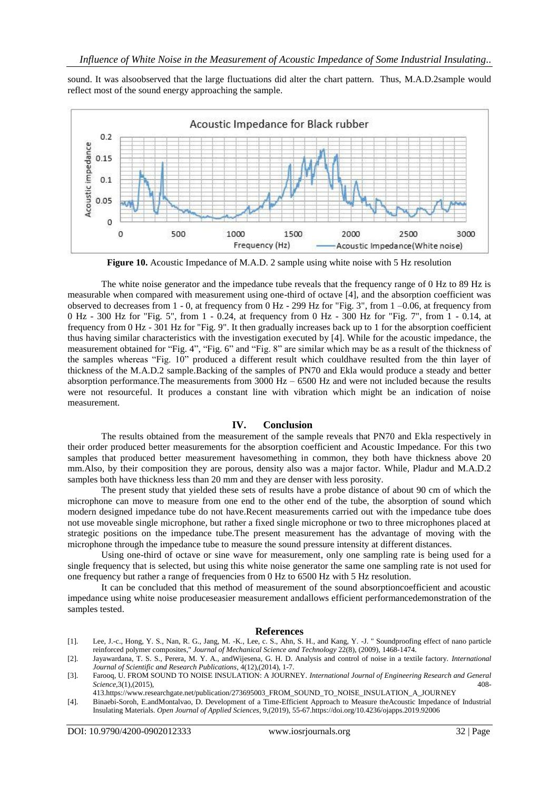sound. It was alsoobserved that the large fluctuations did alter the chart pattern. Thus, M.A.D.2sample would reflect most of the sound energy approaching the sample.



**Figure 10.** Acoustic Impedance of M.A.D. 2 sample using white noise with 5 Hz resolution

The white noise generator and the impedance tube reveals that the frequency range of 0 Hz to 89 Hz is measurable when compared with measurement using one-third of octave [4], and the absorption coefficient was observed to decreases from 1 - 0, at frequency from 0 Hz - 299 Hz for "Fig. 3", from 1 –0.06, at frequency from 0 Hz - 300 Hz for "Fig. 5", from 1 - 0.24, at frequency from 0 Hz - 300 Hz for "Fig. 7", from 1 - 0.14, at frequency from 0 Hz - 301 Hz for "Fig. 9". It then gradually increases back up to 1 for the absorption coefficient thus having similar characteristics with the investigation executed by [4]. While for the acoustic impedance, the measurement obtained for "Fig. 4", "Fig. 6" and "Fig. 8" are similar which may be as a result of the thickness of the samples whereas "Fig. 10" produced a different result which couldhave resulted from the thin layer of thickness of the M.A.D.2 sample.Backing of the samples of PN70 and Ekla would produce a steady and better absorption performance. The measurements from  $3000$  Hz  $- 6500$  Hz and were not included because the results were not resourceful. It produces a constant line with vibration which might be an indication of noise measurement.

### **IV. Conclusion**

The results obtained from the measurement of the sample reveals that PN70 and Ekla respectively in their order produced better measurements for the absorption coefficient and Acoustic Impedance. For this two samples that produced better measurement havesomething in common, they both have thickness above 20 mm.Also, by their composition they are porous, density also was a major factor. While, Pladur and M.A.D.2 samples both have thickness less than 20 mm and they are denser with less porosity.

The present study that yielded these sets of results have a probe distance of about 90 cm of which the microphone can move to measure from one end to the other end of the tube, the absorption of sound which modern designed impedance tube do not have.Recent measurements carried out with the impedance tube does not use moveable single microphone, but rather a fixed single microphone or two to three microphones placed at strategic positions on the impedance tube.The present measurement has the advantage of moving with the microphone through the impedance tube to measure the sound pressure intensity at different distances.

Using one-third of octave or sine wave for measurement, only one sampling rate is being used for a single frequency that is selected, but using this white noise generator the same one sampling rate is not used for one frequency but rather a range of frequencies from 0 Hz to 6500 Hz with 5 Hz resolution.

It can be concluded that this method of measurement of the sound absorptioncoefficient and acoustic impedance using white noise produceseasier measurement andallows efficient performancedemonstration of the samples tested.

#### **References**

- [1]. Lee, J.-c., Hong, Y. S., Nan, R. G., Jang, M. -K., Lee, c. S., Ahn, S. H., and Kang, Y. -J. " Soundproofing effect of nano particle reinforced polymer composites," *Journal of Mechanical Science and Technology* 22(8), (2009), 1468-1474.
- [2]. Jayawardana, T. S. S., Perera, M. Y. A., andWijesena, G. H. D. Analysis and control of noise in a textile factory. *International Journal of Scientific and Research Publications*, 4(12),(2014), 1-7.
- [3]. Farooq, U. FROM SOUND TO NOISE INSULATION: A JOURNEY. *International Journal of Engineering Research and General Science*,3(1),(2015), 408-
- 41[3.https://www.researchgate.net/publication/273695003\\_FROM\\_SOUND\\_TO\\_NOISE\\_INSULATION\\_A\\_JOURNEY](https://www.researchgate.net/publication/273695003_FROM_SOUND_TO_NOISE_INSULATION_A_JOURNEY)
- [4]. Binaebi-Soroh, E.andMontalvao, D. Development of a Time-Efficient Approach to Measure theAcoustic Impedance of Industrial Insulating Materials. *Open Journal of Applied Sciences*, 9,(2019), 55-6[7.https://doi.org/10.4236/ojapps.2019.92006](https://doi.org/10.4236/ojapps.2019.92006)